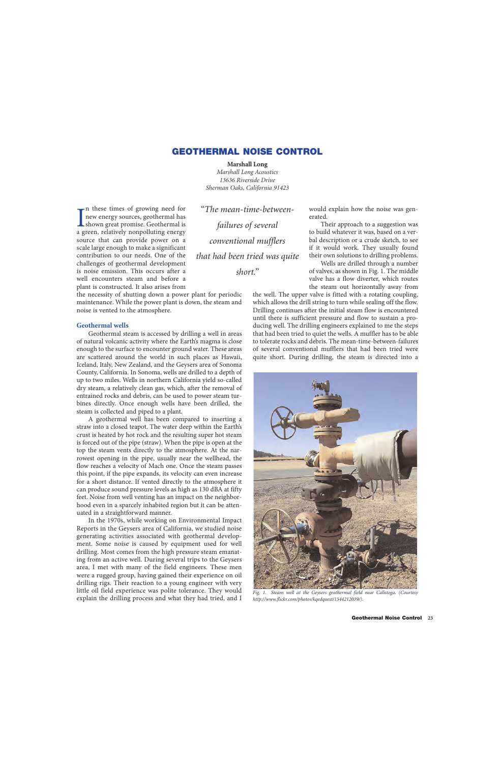# **GEOTHERMAL NOISE CONTROL**

### **Marshall Long**

*Marshall Long Acoustics 13636 Riverside Drive Sherman Oaks, California 91423*

In these times of growing need for<br>new energy sources, geothermal has<br>shown great promise. Geothermal is<br>a green, relatively nonpolluting energy n these times of growing need for new energy sources, geothermal has **L**shown great promise. Geothermal is source that can provide power on a scale large enough to make a significant contribution to our needs. One of the challenges of geothermal development is noise emission. This occurs after a well encounters steam and before a plant is constructed. It also arises from

the necessity of shutting down a power plant for periodic maintenance. While the power plant is down, the steam and noise is vented to the atmosphere.

# **Geothermal wells**

Geothermal steam is accessed by drilling a well in areas of natural volcanic activity where the Earth's magma is close enough to the surface to encounter ground water. These areas are scattered around the world in such places as Hawaii, Iceland, Italy, New Zealand, and the Geysers area of Sonoma County, California. In Sonoma, wells are drilled to a depth of up to two miles. Wells in northern California yield so-called dry steam, a relatively clean gas, which, after the removal of entrained rocks and debris, can be used to power steam turbines directly. Once enough wells have been drilled, the steam is collected and piped to a plant.

A geothermal well has been compared to inserting a straw into a closed teapot. The water deep within the Earth's crust is heated by hot rock and the resulting super hot steam is forced out of the pipe (straw). When the pipe is open at the top the steam vents directly to the atmosphere. At the narrowest opening in the pipe, usually near the wellhead, the flow reaches a velocity of Mach one. Once the steam passes this point, if the pipe expands, its velocity can even increase for a short distance. If vented directly to the atmosphere it can produce sound pressure levels as high as 130 dBA at fifty feet. Noise from well venting has an impact on the neighborhood even in a sparcely inhabited region but it can be attenuated in a straightforward manner.

In the 1970s, while working on Environmental Impact Reports in the Geysers area of California, we studied noise generating activities associated with geothermal development. Some noise is caused by equipment used for well drilling. Most comes from the high pressure steam emanating from an active well. During several trips to the Geysers area, I met with many of the field engineers. These men were a rugged group, having gained their experience on oil drilling rigs. Their reaction to a young engineer with very little oil field experience was polite tolerance. They would explain the drilling process and what they had tried, and I

*"The mean-time-betweenfailures of several conventional mufflers that had been tried was quite short."*

would explain how the noise was generated.

Their approach to a suggestion was to build whatever it was, based on a verbal description or a crude sketch, to see if it would work. They usually found their own solutions to drilling problems.

Wells are drilled through a number of valves, as shown in Fig. 1. The middle valve has a flow diverter, which routes the steam out horizontally away from

the well. The upper valve is fitted with a rotating coupling, which allows the drill string to turn while sealing off the flow. Drilling continues after the initial steam flow is encountered until there is sufficient pressure and flow to sustain a producing well. The drilling engineers explained to me the steps that had been tried to quiet the wells. A muffler has to be able to tolerate rocks and debris. The mean-time-between-failures of several conventional mufflers that had been tried were quite short. During drilling, the steam is directed into a



*Fig. 1. Steam well at the Geysers geothermal field near Calistoga. (Courtesy http://www.flickr.com/photos/kqedquest/1544212039/).*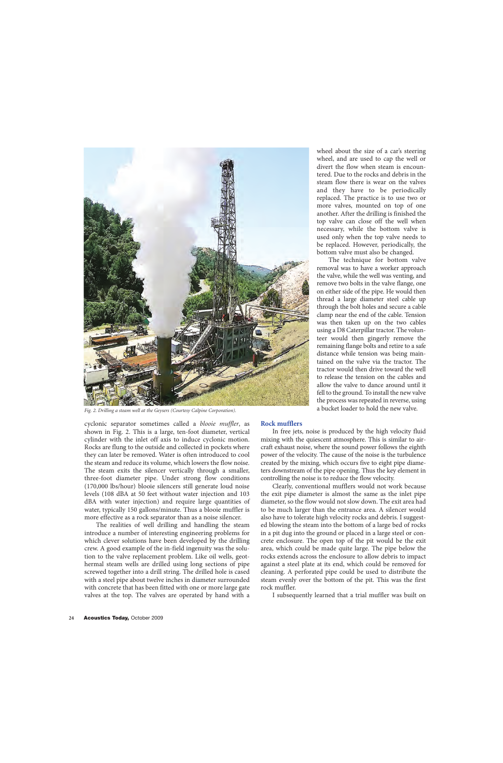

*Fig. 2. Drilling a steam well at the Geysers (Courtesy Calpine Corporation).*

cyclonic separator sometimes called a *blooie muffler*, as shown in Fig. 2. This is a large, ten-foot diameter, vertical cylinder with the inlet off axis to induce cyclonic motion. Rocks are flung to the outside and collected in pockets where they can later be removed. Water is often introduced to cool the steam and reduce its volume, which lowers the flow noise. The steam exits the silencer vertically through a smaller, three-foot diameter pipe. Under strong flow conditions (170,000 lbs/hour) blooie silencers still generate loud noise levels (108 dBA at 50 feet without water injection and 103 dBA with water injection) and require large quantities of water, typically 150 gallons/minute. Thus a blooie muffler is more effective as a rock separator than as a noise silencer.

The realities of well drilling and handling the steam introduce a number of interesting engineering problems for which clever solutions have been developed by the drilling crew. A good example of the in-field ingenuity was the solution to the valve replacement problem. Like oil wells, geothermal steam wells are drilled using long sections of pipe screwed together into a drill string. The drilled hole is cased with a steel pipe about twelve inches in diameter surrounded with concrete that has been fitted with one or more large gate valves at the top. The valves are operated by hand with a

wheel about the size of a car's steering wheel, and are used to cap the well or divert the flow when steam is encountered. Due to the rocks and debris in the steam flow there is wear on the valves and they have to be periodically replaced. The practice is to use two or more valves, mounted on top of one another. After the drilling is finished the top valve can close off the well when necessary, while the bottom valve is used only when the top valve needs to be replaced. However, periodically, the bottom valve must also be changed.

The technique for bottom valve removal was to have a worker approach the valve, while the well was venting, and remove two bolts in the valve flange, one on either side of the pipe. He would then thread a large diameter steel cable up through the bolt holes and secure a cable clamp near the end of the cable. Tension was then taken up on the two cables using a D8 Caterpillar tractor. The volunteer would then gingerly remove the remaining flange bolts and retire to a safe distance while tension was being maintained on the valve via the tractor. The tractor would then drive toward the well to release the tension on the cables and allow the valve to dance around until it fell to the ground. To install the new valve the process was repeated in reverse, using a bucket loader to hold the new valve.

#### **Rock mufflers**

In free jets, noise is produced by the high velocity fluid mixing with the quiescent atmosphere. This is similar to aircraft exhaust noise, where the sound power follows the eighth power of the velocity. The cause of the noise is the turbulence created by the mixing, which occurs five to eight pipe diameters downstream of the pipe opening. Thus the key element in controlling the noise is to reduce the flow velocity.

Clearly, conventional mufflers would not work because the exit pipe diameter is almost the same as the inlet pipe diameter, so the flow would not slow down. The exit area had to be much larger than the entrance area. A silencer would also have to tolerate high velocity rocks and debris. I suggested blowing the steam into the bottom of a large bed of rocks in a pit dug into the ground or placed in a large steel or concrete enclosure. The open top of the pit would be the exit area, which could be made quite large. The pipe below the rocks extends across the enclosure to allow debris to impact against a steel plate at its end, which could be removed for cleaning. A perforated pipe could be used to distribute the steam evenly over the bottom of the pit. This was the first rock muffler.

I subsequently learned that a trial muffler was built on